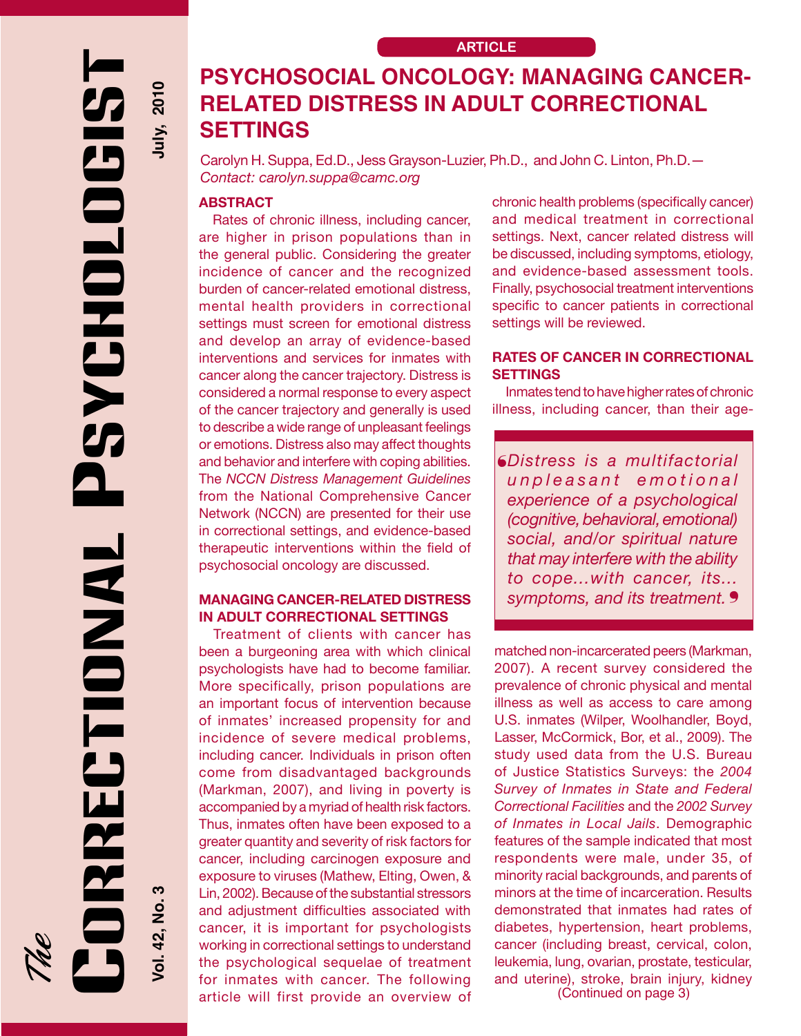2010 July, **EXCHOLOGI** 

## **PSYCHOSOCIAL ONCOLOGY: MANAGING CANCER-RELATED DISTRESS IN ADULT CORRECTIONAL SETTINGS**

Carolyn H. Suppa, Ed.D., Jess Grayson-Luzier, Ph.D., and John C. Linton, Ph.D.— *Contact: carolyn.suppa@camc.org*

## **Abstract**

Rates of chronic illness, including cancer, are higher in prison populations than in the general public. Considering the greater incidence of cancer and the recognized burden of cancer-related emotional distress, mental health providers in correctional settings must screen for emotional distress and develop an array of evidence-based interventions and services for inmates with cancer along the cancer trajectory. Distress is considered a normal response to every aspect of the cancer trajectory and generally is used to describe a wide range of unpleasant feelings or emotions. Distress also may affect thoughts and behavior and interfere with coping abilities. The *NCCN Distress Management Guidelines* from the National Comprehensive Cancer Network (NCCN) are presented for their use in correctional settings, and evidence-based therapeutic interventions within the field of psychosocial oncology are discussed.

## **Managing Cancer-Related Distress in Adult Correctional Settings**

Treatment of clients with cancer has been a burgeoning area with which clinical psychologists have had to become familiar. More specifically, prison populations are an important focus of intervention because of inmates' increased propensity for and incidence of severe medical problems, including cancer. Individuals in prison often come from disadvantaged backgrounds (Markman, 2007), and living in poverty is accompanied by a myriad of health risk factors. Thus, inmates often have been exposed to a greater quantity and severity of risk factors for cancer, including carcinogen exposure and exposure to viruses (Mathew, Elting, Owen, & Lin, 2002). Because of the substantial stressors and adjustment difficulties associated with cancer, it is important for psychologists working in correctional settings to understand the psychological sequelae of treatment for inmates with cancer. The following article will first provide an overview of

chronic health problems (specifically cancer) and medical treatment in correctional settings. Next, cancer related distress will be discussed, including symptoms, etiology, and evidence-based assessment tools. Finally, psychosocial treatment interventions specific to cancer patients in correctional settings will be reviewed.

### **RATES OF Cancer in Correctional Settings**

Inmates tend to have higher rates of chronic illness, including cancer, than their age-

{ *Distress is a multifactorial*  symptoms, and its treatment. 9 *u n p l e a s a n t e m o t i o n a l experience of a psychological (cognitive, behavioral, emotional) social, and/or spiritual nature that may interfere with the ability to cope...with cancer, its...*

(Continued on page 3) matched non-incarcerated peers (Markman, 2007). A recent survey considered the prevalence of chronic physical and mental illness as well as access to care among U.S. inmates (Wilper, Woolhandler, Boyd, Lasser, McCormick, Bor, et al., 2009). The study used data from the U.S. Bureau of Justice Statistics Surveys: the *2004 Survey of Inmates in State and Federal Correctional Facilities* and the *2002 Survey of Inmates in Local Jails*. Demographic features of the sample indicated that most respondents were male, under 35, of minority racial backgrounds, and parents of minors at the time of incarceration. Results demonstrated that inmates had rates of diabetes, hypertension, heart problems, cancer (including breast, cervical, colon, leukemia, lung, ovarian, prostate, testicular, and uterine), stroke, brain injury, kidney

Correctional Psychologist RRECTIONAL

က

/ol. 42, No.

The

**Vol. 42, No. 3 July, 2010**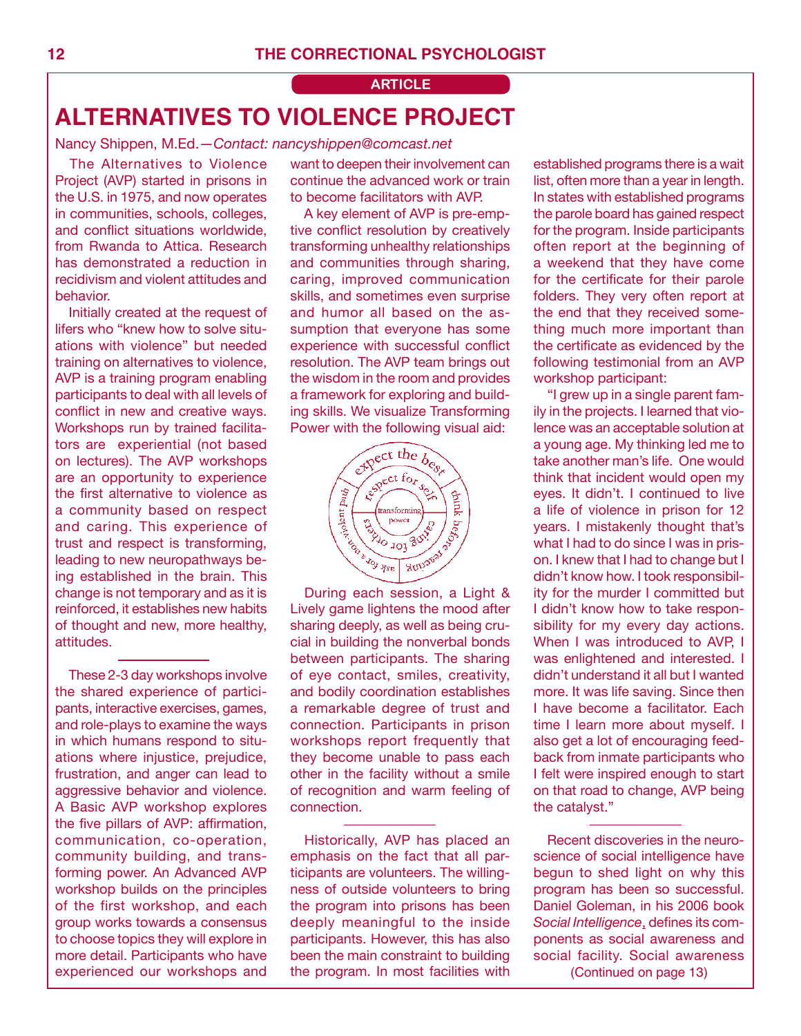## **ARTICLE ALTERNATIVES TO VIOLENCE PROJECT**

Nancy Shippen, M.Ed.—*Contact: nancyshippen@comcast.net*

The Alternatives to Violence Project (AVP) started in prisons in the U.S. in 1975, and now operates in communities, schools, colleges, and conflict situations worldwide, from Rwanda to Attica. Research has demonstrated a reduction in recidivism and violent attitudes and behavior.

Initially created at the request of lifers who "knew how to solve situations with violence" but needed training on alternatives to violence, AVP is a training program enabling participants to deal with all levels of conflict in new and creative ways. Workshops run by trained facilitators are experiential (not based on lectures). The AVP workshops are an opportunity to experience the first alternative to violence as a community based on respect and caring. This experience of trust and respect is transforming, leading to new neuropathways being established in the brain. This change is not temporary and as it is reinforced, it establishes new habits of thought and new, more healthy, attitudes.

These 2-3 day workshops involve the shared experience of participants, interactive exercises, games, and role-plays to examine the ways in which humans respond to situations where injustice, prejudice, frustration, and anger can lead to aggressive behavior and violence. A Basic AVP workshop explores the five pillars of AVP: affirmation, communication, co-operation, community building, and transforming power. An Advanced AVP workshop builds on the principles of the first workshop, and each group works towards a consensus to choose topics they will explore in more detail. Participants who have experienced our workshops and want to deepen their involvement can continue the advanced work or train to become facilitators with AVP.

A key element of AVP is pre-emptive conflict resolution by creatively transforming unhealthy relationships and communities through sharing, caring, improved communication skills, and sometimes even surprise and humor all based on the assumption that everyone has some experience with successful conflict resolution. The AVP team brings out the wisdom in the room and provides a framework for exploring and building skills. We visualize Transforming Power with the following visual aid:



Lively game lightens the mood after sharing deeply, as well as being crucial in building the nonverbal bonds between participants. The sharing of eye contact, smiles, creativity, and bodily coordination establishes a remarkable degree of trust and connection. Participants in prison workshops report frequently that they become unable to pass each other in the facility without a smile of recognition and warm feeling of connection.

Historically, AVP has placed an emphasis on the fact that all participants are volunteers. The willingness of outside volunteers to bring the program into prisons has been deeply meaningful to the inside participants. However, this has also been the main constraint to building the program. In most facilities with established programs there is a wait list, often more than a year in length. In states with established programs the parole board has gained respect for the program. Inside participants often report at the beginning of a weekend that they have come for the certificate for their parole folders. They very often report at the end that they received something much more important than the certificate as evidenced by the following testimonial from an AVP workshop participant:

"I grew up in a single parent family in the projects. I learned that violence was an acceptable solution at a young age. My thinking led me to take another man's life. One would think that incident would open my eyes. It didn't. I continued to live a life of violence in prison for 12 years. I mistakenly thought that's what I had to do since I was in prison. I knew that I had to change but I didn't know how. I took responsibility for the murder I committed but I didn't know how to take responsibility for my every day actions. When I was introduced to AVP. I was enlightened and interested. I didn't understand it all but I wanted more. It was life saving. Since then I have become a facilitator. Each time I learn more about myself. I also get a lot of encouraging feedback from inmate participants who I felt were inspired enough to start on that road to change, AVP being the catalyst."

(Continued on page 13) Recent discoveries in the neuroscience of social intelligence have begun to shed light on why this program has been so successful. Daniel Goleman, in his 2006 book *Social Intelligence*, defines its components as social awareness and social facility. Social awareness